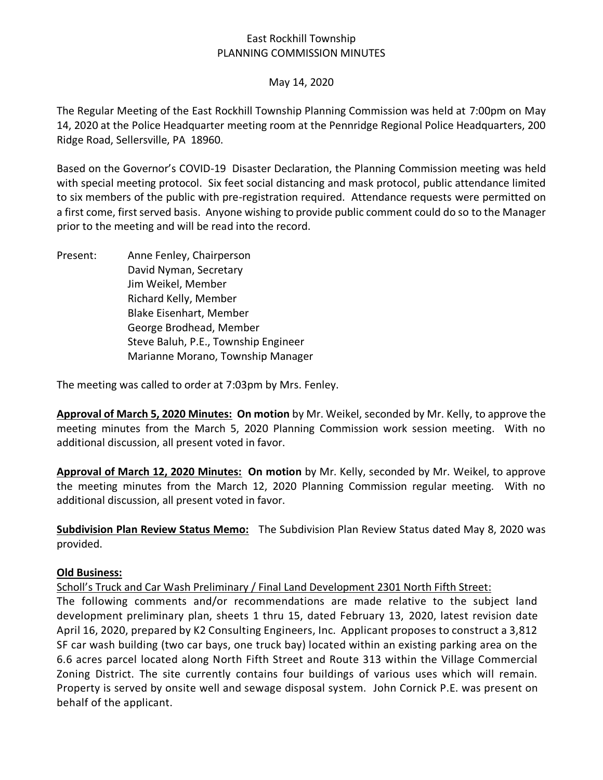# East Rockhill Township PLANNING COMMISSION MINUTES

### May 14, 2020

The Regular Meeting of the East Rockhill Township Planning Commission was held at 7:00pm on May 14, 2020 at the Police Headquarter meeting room at the Pennridge Regional Police Headquarters, 200 Ridge Road, Sellersville, PA 18960.

Based on the Governor's COVID-19 Disaster Declaration, the Planning Commission meeting was held with special meeting protocol. Six feet social distancing and mask protocol, public attendance limited to six members of the public with pre-registration required. Attendance requests were permitted on a first come, first served basis. Anyone wishing to provide public comment could do so to the Manager prior to the meeting and will be read into the record.

Present: Anne Fenley, Chairperson David Nyman, Secretary Jim Weikel, Member Richard Kelly, Member Blake Eisenhart, Member George Brodhead, Member Steve Baluh, P.E., Township Engineer Marianne Morano, Township Manager

The meeting was called to order at 7:03pm by Mrs. Fenley.

**Approval of March 5, 2020 Minutes: On motion** by Mr. Weikel, seconded by Mr. Kelly, to approve the meeting minutes from the March 5, 2020 Planning Commission work session meeting. With no additional discussion, all present voted in favor.

**Approval of March 12, 2020 Minutes: On motion** by Mr. Kelly, seconded by Mr. Weikel, to approve the meeting minutes from the March 12, 2020 Planning Commission regular meeting. With no additional discussion, all present voted in favor.

**Subdivision Plan Review Status Memo:** The Subdivision Plan Review Status dated May 8, 2020 was provided.

### **Old Business:**

Scholl's Truck and Car Wash Preliminary / Final Land Development 2301 North Fifth Street:

The following comments and/or recommendations are made relative to the subject land development preliminary plan, sheets 1 thru 15, dated February 13, 2020, latest revision date April 16, 2020, prepared by K2 Consulting Engineers, Inc. Applicant proposes to construct a 3,812 SF car wash building (two car bays, one truck bay) located within an existing parking area on the 6.6 acres parcel located along North Fifth Street and Route 313 within the Village Commercial Zoning District. The site currently contains four buildings of various uses which will remain. Property is served by onsite well and sewage disposal system. John Cornick P.E. was present on behalf of the applicant.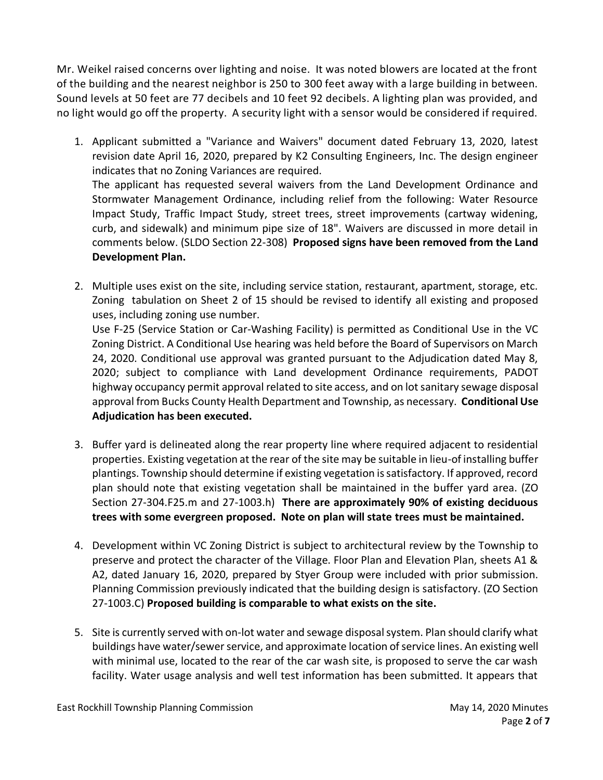Mr. Weikel raised concerns over lighting and noise. It was noted blowers are located at the front of the building and the nearest neighbor is 250 to 300 feet away with a large building in between. Sound levels at 50 feet are 77 decibels and 10 feet 92 decibels. A lighting plan was provided, and no light would go off the property. A security light with a sensor would be considered if required.

- 1. Applicant submitted a "Variance and Waivers" document dated February 13, 2020, latest revision date April 16, 2020, prepared by K2 Consulting Engineers, Inc. The design engineer indicates that no Zoning Variances are required. The applicant has requested several waivers from the Land Development Ordinance and Stormwater Management Ordinance, including relief from the following: Water Resource Impact Study, Traffic Impact Study, street trees, street improvements (cartway widening, curb, and sidewalk) and minimum pipe size of 18". Waivers are discussed in more detail in comments below. (SLDO Section 22-308) **Proposed signs have been removed from the Land Development Plan.**
- 2. Multiple uses exist on the site, including service station, restaurant, apartment, storage, etc. Zoning tabulation on Sheet 2 of 15 should be revised to identify all existing and proposed uses, including zoning use number.

Use F-25 (Service Station or Car-Washing Facility) is permitted as Conditional Use in the VC Zoning District. A Conditional Use hearing was held before the Board of Supervisors on March 24, 2020. Conditional use approval was granted pursuant to the Adjudication dated May 8, 2020; subject to compliance with Land development Ordinance requirements, PADOT highway occupancy permit approval related to site access, and on lot sanitary sewage disposal approval from Bucks County Health Department and Township, as necessary. **Conditional Use Adjudication has been executed.** 

- 3. Buffer yard is delineated along the rear property line where required adjacent to residential properties. Existing vegetation at the rear of the site may be suitable in lieu-of installing buffer plantings. Township should determine if existing vegetation is satisfactory. If approved, record plan should note that existing vegetation shall be maintained in the buffer yard area. (ZO Section 27-304.F25.m and 27-1003.h) **There are approximately 90% of existing deciduous trees with some evergreen proposed. Note on plan will state trees must be maintained.**
- 4. Development within VC Zoning District is subject to architectural review by the Township to preserve and protect the character of the Village. Floor Plan and Elevation Plan, sheets A1 & A2, dated January 16, 2020, prepared by Styer Group were included with prior submission. Planning Commission previously indicated that the building design is satisfactory. (ZO Section 27-1003.C) **Proposed building is comparable to what exists on the site.**
- 5. Site is currently served with on-lot water and sewage disposal system. Plan should clarify what buildings have water/sewer service, and approximate location of service lines. An existing well with minimal use, located to the rear of the car wash site, is proposed to serve the car wash facility. Water usage analysis and well test information has been submitted. It appears that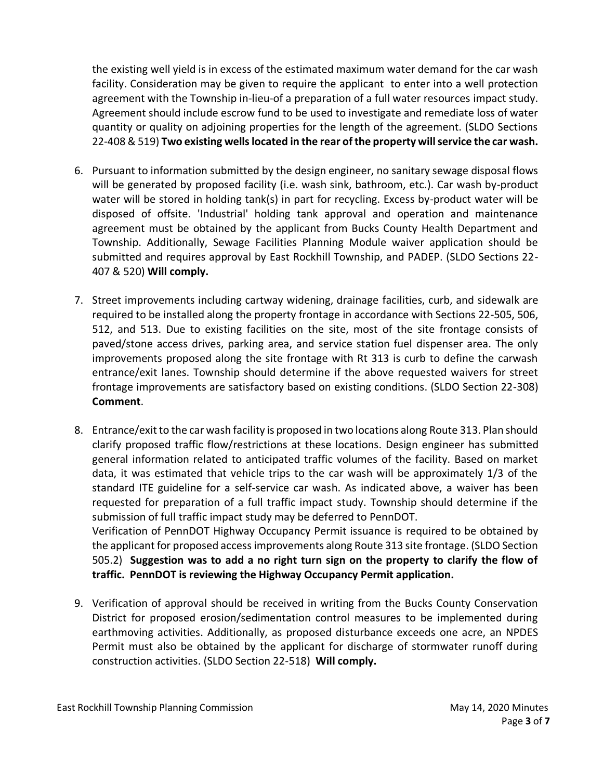the existing well yield is in excess of the estimated maximum water demand for the car wash facility. Consideration may be given to require the applicant to enter into a well protection agreement with the Township in-lieu-of a preparation of a full water resources impact study. Agreement should include escrow fund to be used to investigate and remediate loss of water quantity or quality on adjoining properties for the length of the agreement. (SLDO Sections 22-408 & 519) **Two existing wells located in the rear ofthe property will service the car wash.**

- 6. Pursuant to information submitted by the design engineer, no sanitary sewage disposal flows will be generated by proposed facility (i.e. wash sink, bathroom, etc.). Car wash by-product water will be stored in holding tank(s) in part for recycling. Excess by-product water will be disposed of offsite. 'Industrial' holding tank approval and operation and maintenance agreement must be obtained by the applicant from Bucks County Health Department and Township. Additionally, Sewage Facilities Planning Module waiver application should be submitted and requires approval by East Rockhill Township, and PADEP. (SLDO Sections 22- 407 & 520) **Will comply.**
- 7. Street improvements including cartway widening, drainage facilities, curb, and sidewalk are required to be installed along the property frontage in accordance with Sections 22-505, 506, 512, and 513. Due to existing facilities on the site, most of the site frontage consists of paved/stone access drives, parking area, and service station fuel dispenser area. The only improvements proposed along the site frontage with Rt 313 is curb to define the carwash entrance/exit lanes. Township should determine if the above requested waivers for street frontage improvements are satisfactory based on existing conditions. (SLDO Section 22-308) **Comment**.
- 8. Entrance/exit to the car wash facility is proposed in two locations along Route 313. Plan should clarify proposed traffic flow/restrictions at these locations. Design engineer has submitted general information related to anticipated traffic volumes of the facility. Based on market data, it was estimated that vehicle trips to the car wash will be approximately 1/3 of the standard ITE guideline for a self-service car wash. As indicated above, a waiver has been requested for preparation of a full traffic impact study. Township should determine if the submission of full traffic impact study may be deferred to PennDOT. Verification of PennDOT Highway Occupancy Permit issuance is required to be obtained by the applicant for proposed access improvements along Route 313 site frontage. (SLDO Section 505.2) **Suggestion was to add a no right turn sign on the property to clarify the flow of traffic. PennDOT is reviewing the Highway Occupancy Permit application.**
- 9. Verification of approval should be received in writing from the Bucks County Conservation District for proposed erosion/sedimentation control measures to be implemented during earthmoving activities. Additionally, as proposed disturbance exceeds one acre, an NPDES Permit must also be obtained by the applicant for discharge of stormwater runoff during construction activities. (SLDO Section 22-518) **Will comply.**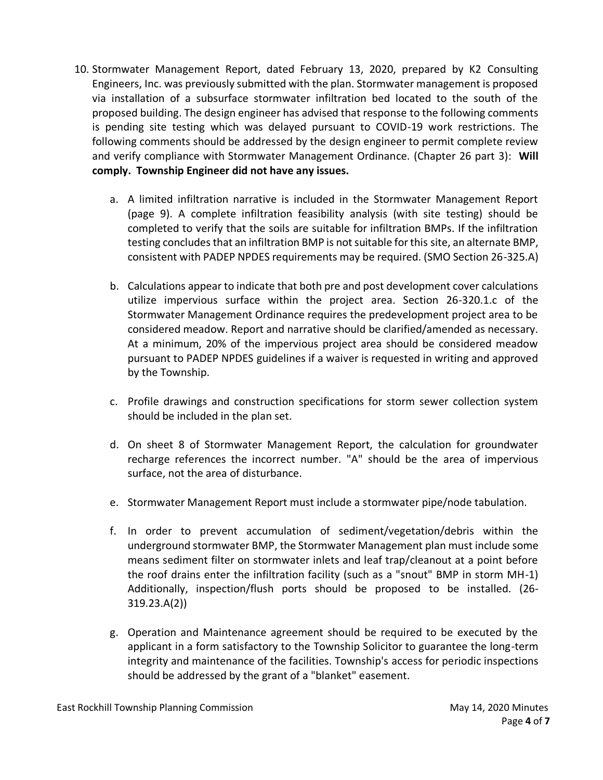- 10. Stormwater Management Report, dated February 13, 2020, prepared by K2 Consulting Engineers, Inc. was previously submitted with the plan. Stormwater management is proposed via installation of a subsurface stormwater infiltration bed located to the south of the proposed building. The design engineer has advised that response to the following comments is pending site testing which was delayed pursuant to COVID-19 work restrictions. The following comments should be addressed by the design engineer to permit complete review and verify compliance with Stormwater Management Ordinance. (Chapter 26 part 3): **Will comply. Township Engineer did not have any issues.** 
	- a. A limited infiltration narrative is included in the Stormwater Management Report (page 9). A complete infiltration feasibility analysis (with site testing) should be completed to verify that the soils are suitable for infiltration BMPs. If the infiltration testing concludes that an infiltration BMP is not suitable for this site, an alternate BMP, consistent with PADEP NPDES requirements may be required. (SMO Section 26-325.A)
	- b. Calculations appear to indicate that both pre and post development cover calculations utilize impervious surface within the project area. Section 26-320.1.c of the Stormwater Management Ordinance requires the predevelopment project area to be considered meadow. Report and narrative should be clarified/amended as necessary. At a minimum, 20% of the impervious project area should be considered meadow pursuant to PADEP NPDES guidelines if a waiver is requested in writing and approved by the Township.
	- c. Profile drawings and construction specifications for storm sewer collection system should be included in the plan set.
	- d. On sheet 8 of Stormwater Management Report, the calculation for groundwater recharge references the incorrect number. "A" should be the area of impervious surface, not the area of disturbance.
	- e. Stormwater Management Report must include a stormwater pipe/node tabulation.
	- f. In order to prevent accumulation of sediment/vegetation/debris within the underground stormwater BMP, the Stormwater Management plan must include some means sediment filter on stormwater inlets and leaf trap/cleanout at a point before the roof drains enter the infiltration facility (such as a "snout" BMP in storm MH-1) Additionally, inspection/flush ports should be proposed to be installed. (26- 319.23.A(2))
	- g. Operation and Maintenance agreement should be required to be executed by the applicant in a form satisfactory to the Township Solicitor to guarantee the long-term integrity and maintenance of the facilities. Township's access for periodic inspections should be addressed by the grant of a "blanket" easement.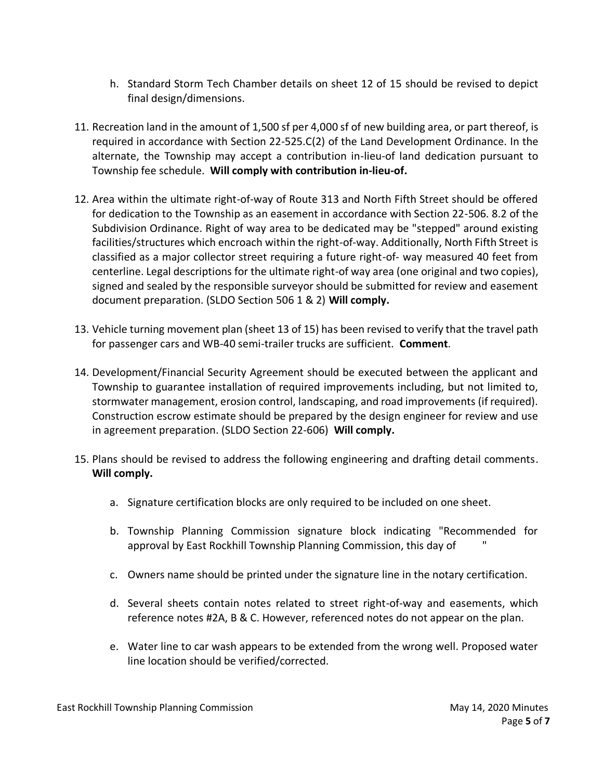- h. Standard Storm Tech Chamber details on sheet 12 of 15 should be revised to depict final design/dimensions.
- 11. Recreation land in the amount of 1,500 sf per 4,000 sf of new building area, or part thereof, is required in accordance with Section 22-525.C(2) of the Land Development Ordinance. In the alternate, the Township may accept a contribution in-lieu-of land dedication pursuant to Township fee schedule. **Will comply with contribution in-lieu-of.**
- 12. Area within the ultimate right-of-way of Route 313 and North Fifth Street should be offered for dedication to the Township as an easement in accordance with Section 22-506. 8.2 of the Subdivision Ordinance. Right of way area to be dedicated may be "stepped" around existing facilities/structures which encroach within the right-of-way. Additionally, North Fifth Street is classified as a major collector street requiring a future right-of- way measured 40 feet from centerline. Legal descriptions for the ultimate right-of way area (one original and two copies), signed and sealed by the responsible surveyor should be submitted for review and easement document preparation. (SLDO Section 506 1 & 2) **Will comply.**
- 13. Vehicle turning movement plan (sheet 13 of 15) has been revised to verify that the travel path for passenger cars and WB-40 semi-trailer trucks are sufficient. **Comment**.
- 14. Development/Financial Security Agreement should be executed between the applicant and Township to guarantee installation of required improvements including, but not limited to, stormwater management, erosion control, landscaping, and road improvements (if required). Construction escrow estimate should be prepared by the design engineer for review and use in agreement preparation. (SLDO Section 22-606) **Will comply.**
- 15. Plans should be revised to address the following engineering and drafting detail comments. **Will comply.**
	- a. Signature certification blocks are only required to be included on one sheet.
	- b. Township Planning Commission signature block indicating "Recommended for approval by East Rockhill Township Planning Commission, this day of "
	- c. Owners name should be printed under the signature line in the notary certification.
	- d. Several sheets contain notes related to street right-of-way and easements, which reference notes #2A, B & C. However, referenced notes do not appear on the plan.
	- e. Water line to car wash appears to be extended from the wrong well. Proposed water line location should be verified/corrected.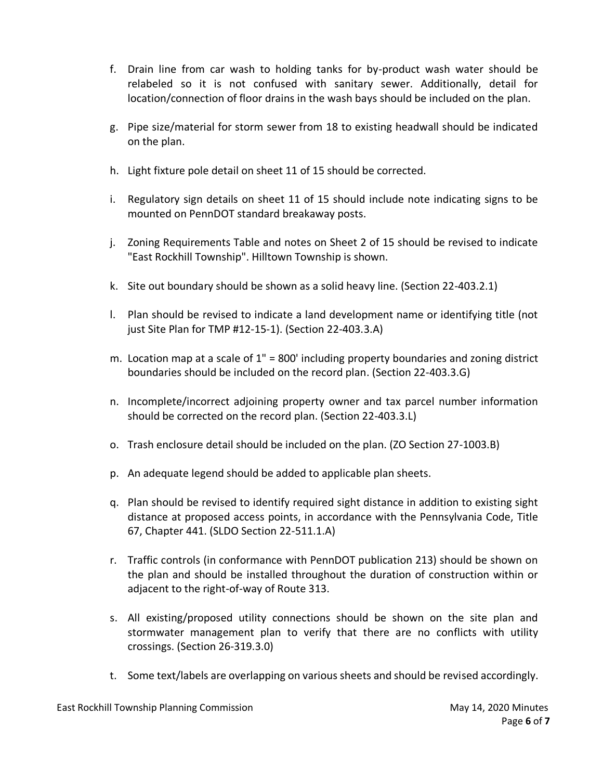- f. Drain line from car wash to holding tanks for by-product wash water should be relabeled so it is not confused with sanitary sewer. Additionally, detail for location/connection of floor drains in the wash bays should be included on the plan.
- g. Pipe size/material for storm sewer from 18 to existing headwall should be indicated on the plan.
- h. Light fixture pole detail on sheet 11 of 15 should be corrected.
- i. Regulatory sign details on sheet 11 of 15 should include note indicating signs to be mounted on PennDOT standard breakaway posts.
- j. Zoning Requirements Table and notes on Sheet 2 of 15 should be revised to indicate "East Rockhill Township". Hilltown Township is shown.
- k. Site out boundary should be shown as a solid heavy line. (Section 22-403.2.1)
- l. Plan should be revised to indicate a land development name or identifying title (not just Site Plan for TMP #12-15-1). (Section 22-403.3.A)
- m. Location map at a scale of 1" = 800' including property boundaries and zoning district boundaries should be included on the record plan. (Section 22-403.3.G)
- n. Incomplete/incorrect adjoining property owner and tax parcel number information should be corrected on the record plan. (Section 22-403.3.L)
- o. Trash enclosure detail should be included on the plan. (ZO Section 27-1003.B)
- p. An adequate legend should be added to applicable plan sheets.
- q. Plan should be revised to identify required sight distance in addition to existing sight distance at proposed access points, in accordance with the Pennsylvania Code, Title 67, Chapter 441. (SLDO Section 22-511.1.A)
- r. Traffic controls (in conformance with PennDOT publication 213) should be shown on the plan and should be installed throughout the duration of construction within or adjacent to the right-of-way of Route 313.
- s. All existing/proposed utility connections should be shown on the site plan and stormwater management plan to verify that there are no conflicts with utility crossings. (Section 26-319.3.0)
- t. Some text/labels are overlapping on various sheets and should be revised accordingly.